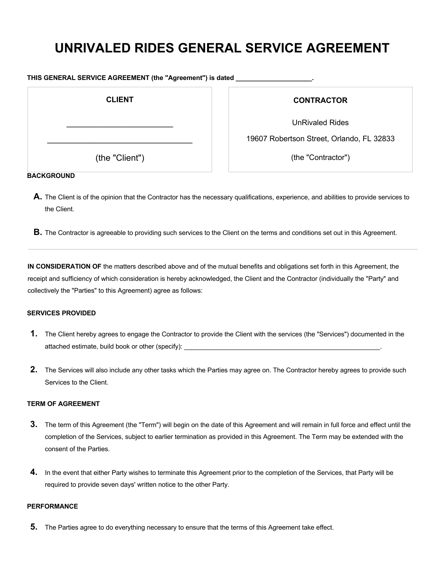# **UNRIVALED RIDES GENERAL SERVICE AGREEMENT**

| THIS GENERAL SERVICE AGREEMENT (the "Agreement") is dated |  |  |
|-----------------------------------------------------------|--|--|
|                                                           |  |  |

| <b>CLIENT</b>  |  |
|----------------|--|
|                |  |
| (the "Client") |  |

# **CONTRACTOR**

UnRivaled Rides

19607 Robertson Street, Orlando, FL 32833

(the "Contractor")

#### **BACKGROUND**

- A. The Client is of the opinion that the Contractor has the necessary qualifications, experience, and abilities to provide services to the Client.
- **B.** The Contractor is agreeable to providing such services to the Client on the terms and conditions set out in this Agreement.

**IN CONSIDERATION OF** the matters described above and of the mutual benefits and obligations set forth in this Agreement, the receipt and sufficiency of which consideration is hereby acknowledged, the Client and the Contractor (individually the "Party" and collectively the "Parties" to this Agreement) agree as follows:

# **SERVICES PROVIDED**

- **1.** The Client hereby agrees to engage the Contractor to provide the Client with the services (the "Services") documented in the attached estimate, build book or other (specify):
- **2.** The Services will also include any other tasks which the Parties may agree on. The Contractor hereby agrees to provide such Services to the Client.

#### **TERM OF AGREEMENT**

- **3.** The term of this Agreement (the "Term") will begin on the date of this Agreement and will remain in full force and effect until the completion of the Services, subject to earlier termination as provided in this Agreement. The Term may be extended with the consent of the Parties.
- **4.** In the event that either Party wishes to terminate this Agreement prior to the completion of the Services, that Party will be required to provide seven days' written notice to the other Party.

# **PERFORMANCE**

**5.** The Parties agree to do everything necessary to ensure that the terms of this Agreement take effect.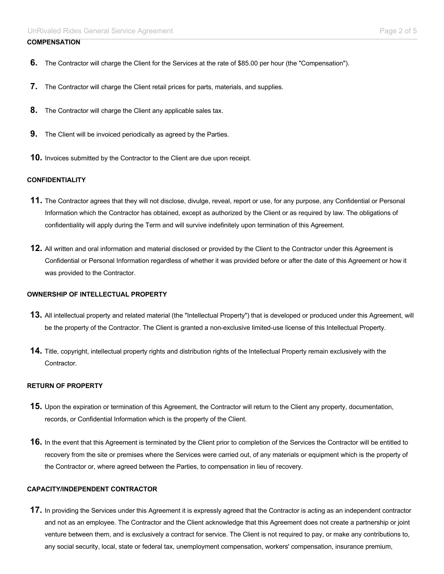# **COMPENSATION**

- **6.** The Contractor will charge the Client for the Services at the rate of \$85.00 per hour (the "Compensation").
- **7.** The Contractor will charge the Client retail prices for parts, materials, and supplies.
- **8.** The Contractor will charge the Client any applicable sales tax.
- **9.** The Client will be invoiced periodically as agreed by the Parties.
- **10.** Invoices submitted by the Contractor to the Client are due upon receipt.

# **CONFIDENTIALITY**

- **11.** The Contractor agrees that they will not disclose, divulge, reveal, report or use, for any purpose, any Confidential or Personal Information which the Contractor has obtained, except as authorized by the Client or as required by law. The obligations of confidentiality will apply during the Term and will survive indefinitely upon termination of this Agreement.
- **12.** All written and oral information and material disclosed or provided by the Client to the Contractor under this Agreement is Confidential or Personal Information regardless of whether it was provided before or after the date of this Agreement or how it was provided to the Contractor.

#### **OWNERSHIP OF INTELLECTUAL PROPERTY**

- **13.** All intellectual property and related material (the "Intellectual Property") that is developed or produced under this Agreement, will be the property of the Contractor. The Client is granted a non-exclusive limited-use license of this Intellectual Property.
- **14.** Title, copyright, intellectual property rights and distribution rights of the Intellectual Property remain exclusively with the Contractor.

#### **RETURN OF PROPERTY**

- **15.** Upon the expiration or termination of this Agreement, the Contractor will return to the Client any property, documentation, records, or Confidential Information which is the property of the Client.
- **16.** In the event that this Agreement is terminated by the Client prior to completion of the Services the Contractor will be entitled to recovery from the site or premises where the Services were carried out, of any materials or equipment which is the property of the Contractor or, where agreed between the Parties, to compensation in lieu of recovery.

#### **CAPACITY/INDEPENDENT CONTRACTOR**

**17.** In providing the Services under this Agreement it is expressly agreed that the Contractor is acting as an independent contractor and not as an employee. The Contractor and the Client acknowledge that this Agreement does not create a partnership or joint venture between them, and is exclusively a contract for service. The Client is not required to pay, or make any contributions to, any social security, local, state or federal tax, unemployment compensation, workers' compensation, insurance premium,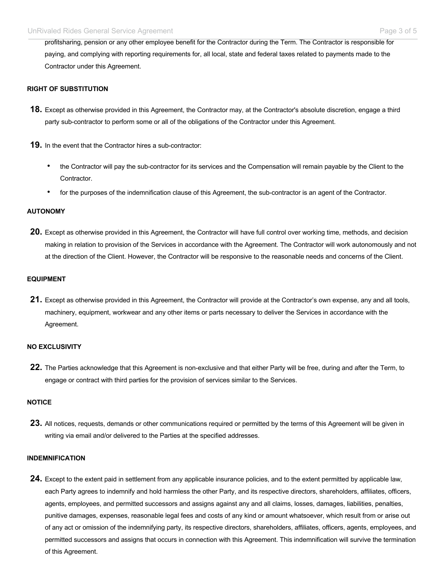profitsharing, pension or any other employee benefit for the Contractor during the Term. The Contractor is responsible for paying, and complying with reporting requirements for, all local, state and federal taxes related to payments made to the Contractor under this Agreement.

### **RIGHT OF SUBSTITUTION**

- **18.** Except as otherwise provided in this Agreement, the Contractor may, at the Contractor's absolute discretion, engage a third party sub-contractor to perform some or all of the obligations of the Contractor under this Agreement.
- **19.** In the event that the Contractor hires a sub-contractor:
	- the Contractor will pay the sub-contractor for its services and the Compensation will remain payable by the Client to the Contractor.
	- for the purposes of the indemnification clause of this Agreement, the sub-contractor is an agent of the Contractor.

#### **AUTONOMY**

**20.** Except as otherwise provided in this Agreement, the Contractor will have full control over working time, methods, and decision making in relation to provision of the Services in accordance with the Agreement. The Contractor will work autonomously and not at the direction of the Client. However, the Contractor will be responsive to the reasonable needs and concerns of the Client.

#### **EQUIPMENT**

**21.** Except as otherwise provided in this Agreement, the Contractor will provide at the Contractor's own expense, any and all tools, machinery, equipment, workwear and any other items or parts necessary to deliver the Services in accordance with the Agreement.

#### **NO EXCLUSIVITY**

**22.** The Parties acknowledge that this Agreement is non-exclusive and that either Party will be free, during and after the Term, to engage or contract with third parties for the provision of services similar to the Services.

#### **NOTICE**

**23.** All notices, requests, demands or other communications required or permitted by the terms of this Agreement will be given in writing via email and/or delivered to the Parties at the specified addresses.

#### **INDEMNIFICATION**

**24.** Except to the extent paid in settlement from any applicable insurance policies, and to the extent permitted by applicable law, each Party agrees to indemnify and hold harmless the other Party, and its respective directors, shareholders, affiliates, officers, agents, employees, and permitted successors and assigns against any and all claims, losses, damages, liabilities, penalties, punitive damages, expenses, reasonable legal fees and costs of any kind or amount whatsoever, which result from or arise out of any act or omission of the indemnifying party, its respective directors, shareholders, affiliates, officers, agents, employees, and permitted successors and assigns that occurs in connection with this Agreement. This indemnification will survive the termination of this Agreement.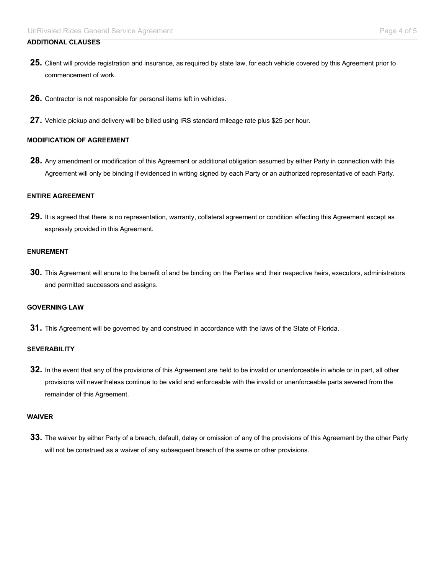# **ADDITIONAL CLAUSES**

- **25.** Client will provide registration and insurance, as required by state law, for each vehicle covered by this Agreement prior to commencement of work.
- **26.** Contractor is not responsible for personal items left in vehicles.
- **27.** Vehicle pickup and delivery will be billed using IRS standard mileage rate plus \$25 per hour.

#### **MODIFICATION OF AGREEMENT**

**28.** Any amendment or modification of this Agreement or additional obligation assumed by either Party in connection with this Agreement will only be binding if evidenced in writing signed by each Party or an authorized representative of each Party.

#### **ENTIRE AGREEMENT**

**29.** It is agreed that there is no representation, warranty, collateral agreement or condition affecting this Agreement except as expressly provided in this Agreement.

#### **ENUREMENT**

**30.** This Agreement will enure to the benefit of and be binding on the Parties and their respective heirs, executors, administrators and permitted successors and assigns.

# **GOVERNING LAW**

**31.** This Agreement will be governed by and construed in accordance with the laws of the State of Florida.

#### **SEVERABILITY**

**32.** In the event that any of the provisions of this Agreement are held to be invalid or unenforceable in whole or in part, all other provisions will nevertheless continue to be valid and enforceable with the invalid or unenforceable parts severed from the remainder of this Agreement.

#### **WAIVER**

**33.** The waiver by either Party of a breach, default, delay or omission of any of the provisions of this Agreement by the other Party will not be construed as a waiver of any subsequent breach of the same or other provisions.